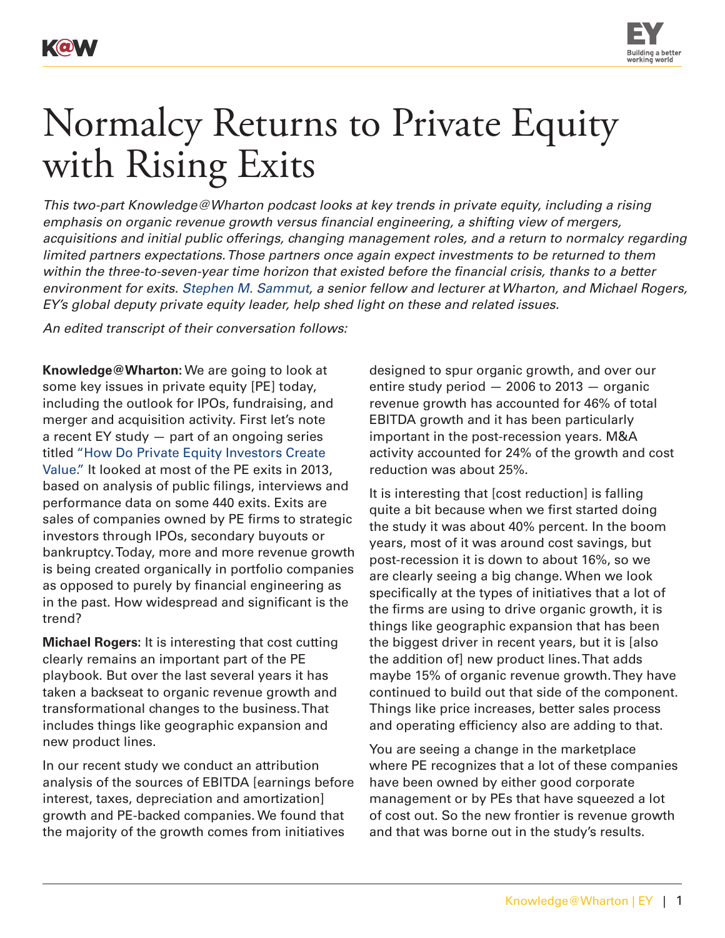KOV



## Normalcy Returns to Private Equity with Rising Exits

*This two-part Knowledge@Wharton podcast looks at key trends in private equity, including a rising emphasis on organic revenue growth versus financial engineering, a shifting view of mergers, acquisitions and initial public offerings, changing management roles, and a return to normalcy regarding limited partners expectations. Those partners once again expect investments to be returned to them within the three-to-seven-year time horizon that existed before the financial crisis, thanks to a better environment for exits. [Stephen M. Sammut](http://entrepreneurship.wharton.upenn.edu/teaching/faculty/sammut.html), a senior fellow and lecturer at Wharton, and Michael Rogers, EY's global deputy private equity leader, help shed light on these and related issues.*

*An edited transcript of their conversation follows:*

**Knowledge@Wharton:** We are going to look at some key issues in private equity [PE] today, including the outlook for IPOs, fundraising, and merger and acquisition activity. First let's note a recent EY study — part of an ongoing series titled ["How Do Private Equity Investors Create](http://www.ey.com/Publication/vwLUAssets/EY-returning-to-safer-ground/$FILE/EY-returning-to-safer-ground.pdf)  [Value."](http://www.ey.com/Publication/vwLUAssets/EY-returning-to-safer-ground/$FILE/EY-returning-to-safer-ground.pdf) It looked at most of the PE exits in 2013, based on analysis of public filings, interviews and performance data on some 440 exits. Exits are sales of companies owned by PE firms to strategic investors through IPOs, secondary buyouts or bankruptcy. Today, more and more revenue growth is being created organically in portfolio companies as opposed to purely by financial engineering as in the past. How widespread and significant is the trend?

**Michael Rogers:** It is interesting that cost cutting clearly remains an important part of the PE playbook. But over the last several years it has taken a backseat to organic revenue growth and transformational changes to the business. That includes things like geographic expansion and new product lines.

In our recent study we conduct an attribution analysis of the sources of EBITDA [earnings before interest, taxes, depreciation and amortization] growth and PE-backed companies. We found that the majority of the growth comes from initiatives

designed to spur organic growth, and over our entire study period — 2006 to 2013 — organic revenue growth has accounted for 46% of total EBITDA growth and it has been particularly important in the post-recession years. M&A activity accounted for 24% of the growth and cost reduction was about 25%.

It is interesting that [cost reduction] is falling quite a bit because when we first started doing the study it was about 40% percent. In the boom years, most of it was around cost savings, but post-recession it is down to about 16%, so we are clearly seeing a big change. When we look specifically at the types of initiatives that a lot of the firms are using to drive organic growth, it is things like geographic expansion that has been the biggest driver in recent years, but it is [also the addition of] new product lines. That adds maybe 15% of organic revenue growth. They have continued to build out that side of the component. Things like price increases, better sales process and operating efficiency also are adding to that.

You are seeing a change in the marketplace where PE recognizes that a lot of these companies have been owned by either good corporate management or by PEs that have squeezed a lot of cost out. So the new frontier is revenue growth and that was borne out in the study's results.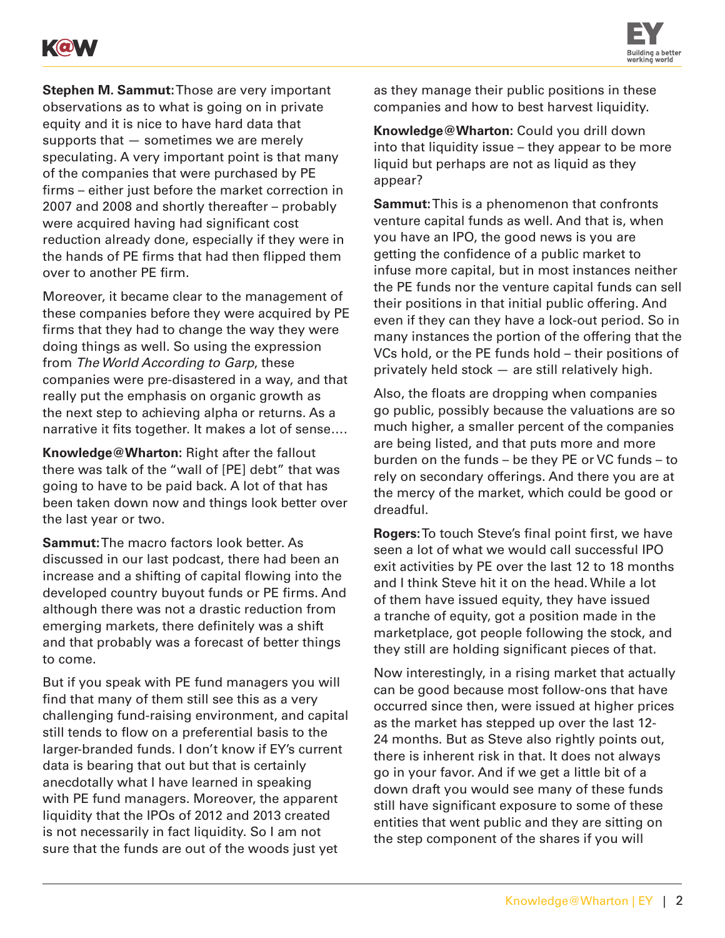



**Stephen M. Sammut:** Those are very important observations as to what is going on in private equity and it is nice to have hard data that supports that — sometimes we are merely speculating. A very important point is that many of the companies that were purchased by PE firms – either just before the market correction in 2007 and 2008 and shortly thereafter – probably were acquired having had significant cost reduction already done, especially if they were in the hands of PE firms that had then flipped them over to another PE firm.

Moreover, it became clear to the management of these companies before they were acquired by PE firms that they had to change the way they were doing things as well. So using the expression from *The World According to Garp*, these companies were pre-disastered in a way, and that really put the emphasis on organic growth as the next step to achieving alpha or returns. As a narrative it fits together. It makes a lot of sense….

**Knowledge@Wharton:** Right after the fallout there was talk of the "wall of [PE] debt" that was going to have to be paid back. A lot of that has been taken down now and things look better over the last year or two.

**Sammut:** The macro factors look better. As discussed in our last podcast, there had been an increase and a shifting of capital flowing into the developed country buyout funds or PE firms. And although there was not a drastic reduction from emerging markets, there definitely was a shift and that probably was a forecast of better things to come.

But if you speak with PE fund managers you will find that many of them still see this as a very challenging fund-raising environment, and capital still tends to flow on a preferential basis to the larger-branded funds. I don't know if EY's current data is bearing that out but that is certainly anecdotally what I have learned in speaking with PE fund managers. Moreover, the apparent liquidity that the IPOs of 2012 and 2013 created is not necessarily in fact liquidity. So I am not sure that the funds are out of the woods just yet

as they manage their public positions in these companies and how to best harvest liquidity.

**Knowledge@Wharton:** Could you drill down into that liquidity issue – they appear to be more liquid but perhaps are not as liquid as they appear?

**Sammut:** This is a phenomenon that confronts venture capital funds as well. And that is, when you have an IPO, the good news is you are getting the confidence of a public market to infuse more capital, but in most instances neither the PE funds nor the venture capital funds can sell their positions in that initial public offering. And even if they can they have a lock-out period. So in many instances the portion of the offering that the VCs hold, or the PE funds hold – their positions of privately held stock — are still relatively high.

Also, the floats are dropping when companies go public, possibly because the valuations are so much higher, a smaller percent of the companies are being listed, and that puts more and more burden on the funds – be they PE or VC funds – to rely on secondary offerings. And there you are at the mercy of the market, which could be good or dreadful.

**Rogers:** To touch Steve's final point first, we have seen a lot of what we would call successful IPO exit activities by PE over the last 12 to 18 months and I think Steve hit it on the head. While a lot of them have issued equity, they have issued a tranche of equity, got a position made in the marketplace, got people following the stock, and they still are holding significant pieces of that.

Now interestingly, in a rising market that actually can be good because most follow-ons that have occurred since then, were issued at higher prices as the market has stepped up over the last 12- 24 months. But as Steve also rightly points out, there is inherent risk in that. It does not always go in your favor. And if we get a little bit of a down draft you would see many of these funds still have significant exposure to some of these entities that went public and they are sitting on the step component of the shares if you will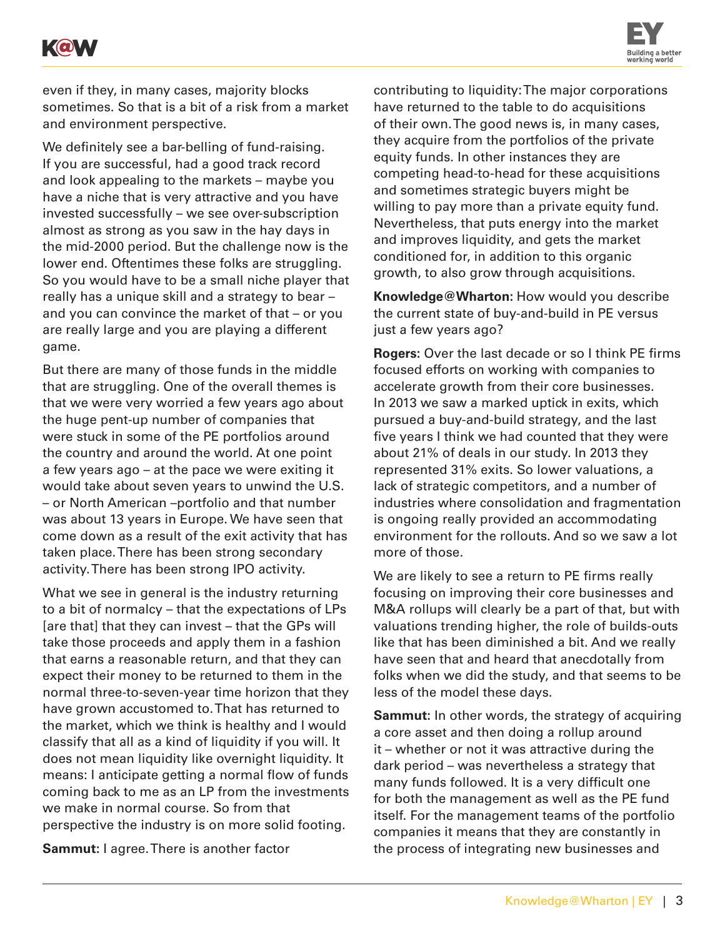



even if they, in many cases, majority blocks sometimes. So that is a bit of a risk from a market and environment perspective.

We definitely see a bar-belling of fund-raising. If you are successful, had a good track record and look appealing to the markets – maybe you have a niche that is very attractive and you have invested successfully – we see over-subscription almost as strong as you saw in the hay days in the mid-2000 period. But the challenge now is the lower end. Oftentimes these folks are struggling. So you would have to be a small niche player that really has a unique skill and a strategy to bear – and you can convince the market of that – or you are really large and you are playing a different game.

But there are many of those funds in the middle that are struggling. One of the overall themes is that we were very worried a few years ago about the huge pent-up number of companies that were stuck in some of the PE portfolios around the country and around the world. At one point a few years ago – at the pace we were exiting it would take about seven years to unwind the U.S. – or North American –portfolio and that number was about 13 years in Europe. We have seen that come down as a result of the exit activity that has taken place. There has been strong secondary activity. There has been strong IPO activity.

What we see in general is the industry returning to a bit of normalcy – that the expectations of LPs [are that] that they can invest – that the GPs will take those proceeds and apply them in a fashion that earns a reasonable return, and that they can expect their money to be returned to them in the normal three-to-seven-year time horizon that they have grown accustomed to. That has returned to the market, which we think is healthy and I would classify that all as a kind of liquidity if you will. It does not mean liquidity like overnight liquidity. It means: I anticipate getting a normal flow of funds coming back to me as an LP from the investments we make in normal course. So from that perspective the industry is on more solid footing.

**Sammut:** I agree. There is another factor

contributing to liquidity: The major corporations have returned to the table to do acquisitions of their own. The good news is, in many cases, they acquire from the portfolios of the private equity funds. In other instances they are competing head-to-head for these acquisitions and sometimes strategic buyers might be willing to pay more than a private equity fund. Nevertheless, that puts energy into the market and improves liquidity, and gets the market conditioned for, in addition to this organic growth, to also grow through acquisitions.

**Knowledge@Wharton:** How would you describe the current state of buy-and-build in PE versus just a few years ago?

**Rogers:** Over the last decade or so I think PE firms focused efforts on working with companies to accelerate growth from their core businesses. In 2013 we saw a marked uptick in exits, which pursued a buy-and-build strategy, and the last five years I think we had counted that they were about 21% of deals in our study. In 2013 they represented 31% exits. So lower valuations, a lack of strategic competitors, and a number of industries where consolidation and fragmentation is ongoing really provided an accommodating environment for the rollouts. And so we saw a lot more of those.

We are likely to see a return to PE firms really focusing on improving their core businesses and M&A rollups will clearly be a part of that, but with valuations trending higher, the role of builds-outs like that has been diminished a bit. And we really have seen that and heard that anecdotally from folks when we did the study, and that seems to be less of the model these days.

**Sammut:** In other words, the strategy of acquiring a core asset and then doing a rollup around it – whether or not it was attractive during the dark period – was nevertheless a strategy that many funds followed. It is a very difficult one for both the management as well as the PE fund itself. For the management teams of the portfolio companies it means that they are constantly in the process of integrating new businesses and